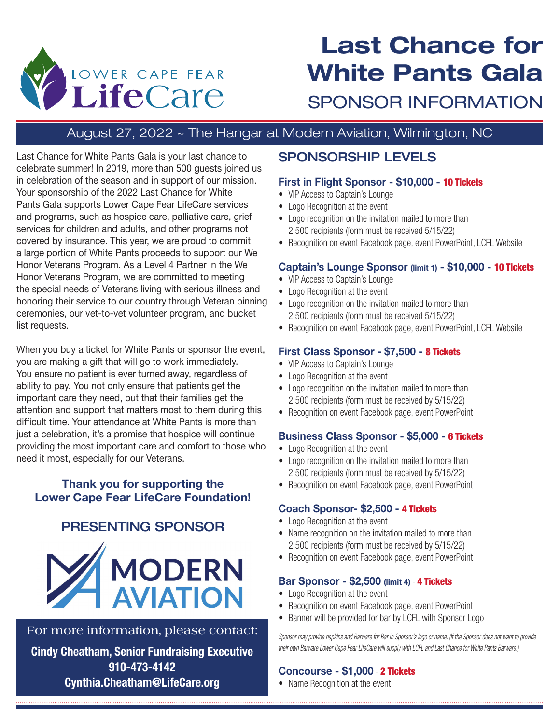

# **Last Chance for White Pants Gala** SPONSOR INFORMATION

## August 27, 2022 ~ The Hangar at Modern Aviation, Wilmington, NC

Last Chance for White Pants Gala is your last chance to celebrate summer! In 2019, more than 500 guests joined us in celebration of the season and in support of our mission. Your sponsorship of the 2022 Last Chance for White Pants Gala supports Lower Cape Fear LifeCare services and programs, such as hospice care, palliative care, grief services for children and adults, and other programs not covered by insurance. This year, we are proud to commit a large portion of White Pants proceeds to support our We Honor Veterans Program. As a Level 4 Partner in the We Honor Veterans Program, we are committed to meeting the special needs of Veterans living with serious illness and honoring their service to our country through Veteran pinning ceremonies, our vet-to-vet volunteer program, and bucket list requests.

When you buy a ticket for White Pants or sponsor the event, you are making a gift that will go to work immediately. You ensure no patient is ever turned away, regardless of ability to pay. You not only ensure that patients get the important care they need, but that their families get the attention and support that matters most to them during this difficult time. Your attendance at White Pants is more than just a celebration, it's a promise that hospice will continue providing the most important care and comfort to those who need it most, especially for our Veterans.

#### **Thank you for supporting the Lower Cape Fear LifeCare Foundation!**

### PRESENTING SPONSOR



#### For more information, please contact:

**Cindy Cheatham, Senior Fundraising Executive 910-473-4142 Cynthia.Cheatham@LifeCare.org**

### SPONSORSHIP LEVELS

#### **First in Flight Sponsor - \$10,000 -** 10 Tickets

- VIP Access to Captain's Lounge
- Logo Recognition at the event
- Logo recognition on the invitation mailed to more than 2,500 recipients (form must be received 5/15/22)
- Recognition on event Facebook page, event PowerPoint, LCFL Website

#### **Captain's Lounge Sponsor (limit 1) - \$10,000 -** 10 Tickets

- VIP Access to Captain's Lounge
- Logo Recognition at the event
- Logo recognition on the invitation mailed to more than 2,500 recipients (form must be received 5/15/22)
- Recognition on event Facebook page, event PowerPoint, LCFL Website

#### **First Class Sponsor - \$7,500 -** 8 Tickets

- VIP Access to Captain's Lounge
- Logo Recognition at the event
- Logo recognition on the invitation mailed to more than 2,500 recipients (form must be received by 5/15/22)
- Recognition on event Facebook page, event PowerPoint

#### **Business Class Sponsor - \$5,000 -** 6 Tickets

- Logo Recognition at the event
- Logo recognition on the invitation mailed to more than 2,500 recipients (form must be received by 5/15/22)
- Recognition on event Facebook page, event PowerPoint

#### **Coach Sponsor- \$2,500 -** 4 Tickets

- Logo Recognition at the event
- Name recognition on the invitation mailed to more than 2,500 recipients (form must be received by 5/15/22)
- Recognition on event Facebook page, event PowerPoint

#### **Bar Sponsor - \$2,500 (limit 4)** - 4 Tickets

- Logo Recognition at the event
- Recognition on event Facebook page, event PowerPoint
- Banner will be provided for bar by LCFL with Sponsor Logo

*Sponsor may provide napkins and Barware for Bar in Sponsor's logo or name. (If the Sponsor does not want to provide their own Barware Lower Cape Fear LifeCare will supply with LCFL and Last Chance for White Pants Barware.)*

#### **Concourse - \$1,000** - 2 Tickets

• Name Recognition at the event